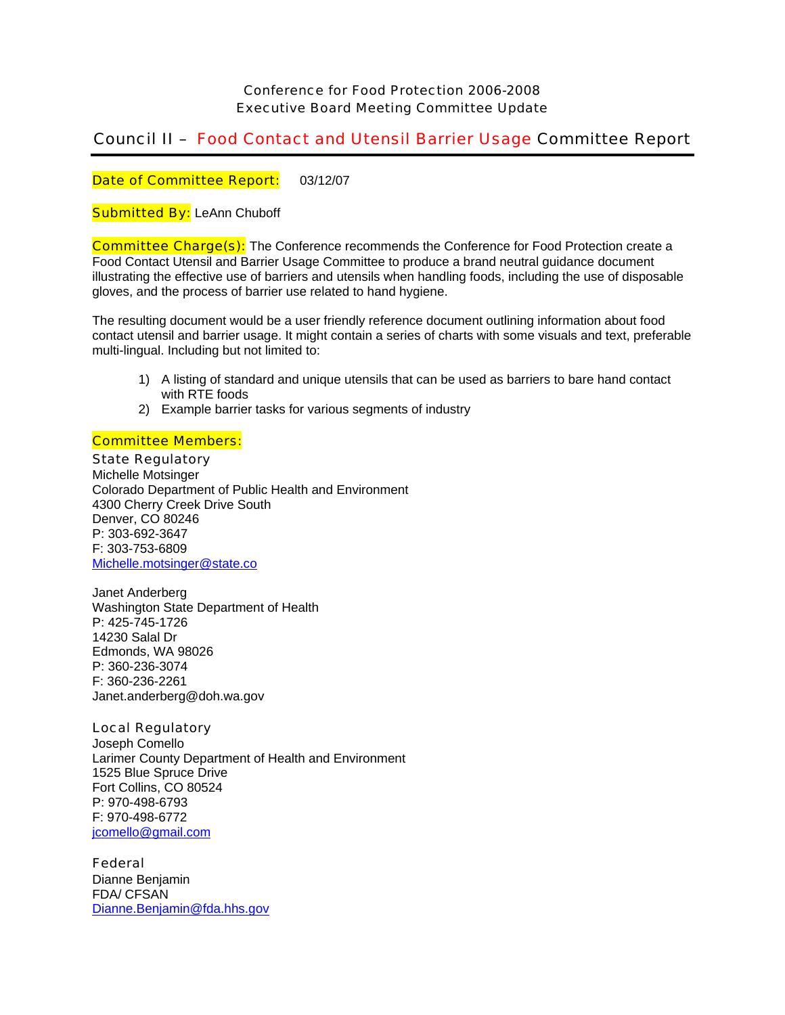## Conference for Food Protection 2006-2008 Executive Board Meeting Committee Update

# Council II – Food Contact and Utensil Barrier Usage Committee Report

Date of Committee Report: 03/12/07

**Submitted By: LeAnn Chuboff** 

**Committee Charge(s):** The Conference recommends the Conference for Food Protection create a Food Contact Utensil and Barrier Usage Committee to produce a brand neutral guidance document illustrating the effective use of barriers and utensils when handling foods, including the use of disposable gloves, and the process of barrier use related to hand hygiene.

The resulting document would be a user friendly reference document outlining information about food contact utensil and barrier usage. It might contain a series of charts with some visuals and text, preferable multi-lingual. Including but not limited to:

- 1) A listing of standard and unique utensils that can be used as barriers to bare hand contact with RTE foods
- 2) Example barrier tasks for various segments of industry

### Committee Members:

State Regulatory Michelle Motsinger Colorado Department of Public Health and Environment

4300 Cherry Creek Drive South Denver, CO 80246 P: 303-692-3647 F: 303-753-6809 Michelle.motsinger@state.co

Janet Anderberg Washington State Department of Health P: 425-745-1726 14230 Salal Dr Edmonds, WA 98026 P: 360-236-3074 F: 360-236-2261 Janet.anderberg@doh.wa.gov

## Local Regulatory

Joseph Comello Larimer County Department of Health and Environment 1525 Blue Spruce Drive Fort Collins, CO 80524 P: 970-498-6793 F: 970-498-6772 jcomello@gmail.com

#### Federal

Dianne Benjamin FDA/ CFSAN Dianne.Benjamin@fda.hhs.gov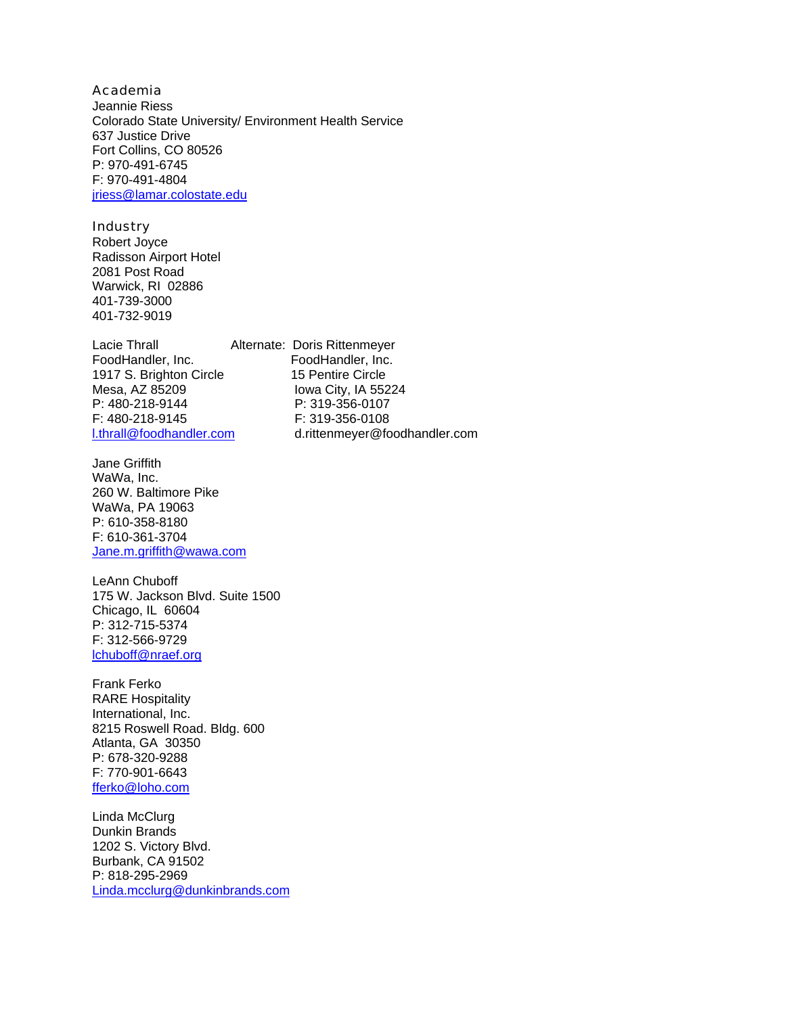### Academia

Jeannie Riess Colorado State University/ Environment Health Service 637 Justice Drive Fort Collins, CO 80526 P: 970-491-6745 F: 970-491-4804 jriess@lamar.colostate.edu

## **Industry**

Robert Joyce Radisson Airport Hotel 2081 Post Road Warwick, RI 02886 401-739-3000 401-732-9019

Lacie Thrall **Alternate: Doris Rittenmeyer**<br>FoodHandler, Inc. **FoodHandler**, Inc. 1917 S. Brighton Circle 15 Pentire Circle Mesa, AZ 85209 Iowa City, IA 55224 P: 480-218-9144 P: 319-356-0107 F: 480-218-9145 F: 319-356-0108

Jane Griffith WaWa, Inc. 260 W. Baltimore Pike WaWa, PA 19063 P: 610-358-8180 F: 610-361-3704 Jane.m.griffith@wawa.com

LeAnn Chuboff 175 W. Jackson Blvd. Suite 1500 Chicago, IL 60604 P: 312-715-5374 F: 312-566-9729 lchuboff@nraef.org

Frank Ferko RARE Hospitality International, Inc. 8215 Roswell Road. Bldg. 600 Atlanta, GA 30350 P: 678-320-9288 F: 770-901-6643 fferko@loho.com

Linda McClurg Dunkin Brands 1202 S. Victory Blvd. Burbank, CA 91502 P: 818-295-2969 Linda.mcclurg@dunkinbrands.com

FoodHandler, Inc. l.thrall@foodhandler.com d.rittenmeyer@foodhandler.com